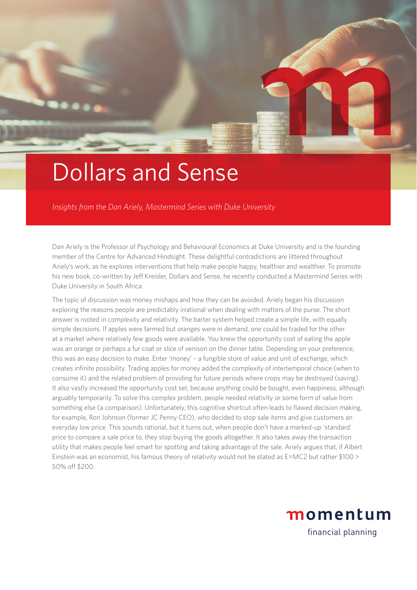

## Dollars and Sense

*Insights from the Dan Ariely, Mastermind Series with Duke University*

Dan Ariely is the Professor of Psychology and Behavioural Economics at Duke University and is the founding member of the Centre for Advanced Hindsight. These delightful contradictions are littered throughout Ariely's work, as he explores interventions that help make people happy, healthier and wealthier. To promote his new book, co-written by Jeff Kreisler, Dollars and Sense, he recently conducted a Mastermind Series with Duke University in South Africa.

The topic of discussion was money mishaps and how they can be avoided. Ariely began his discussion exploring the reasons people are predictably irrational when dealing with matters of the purse. The short answer is rooted in complexity and relativity. The barter system helped create a simple life, with equally simple decisions. If apples were farmed but oranges were in demand, one could be traded for the other at a market where relatively few goods were available. You knew the opportunity cost of eating the apple was an orange or perhaps a fur coat or slice of venison on the dinner table. Depending on your preference, this was an easy decision to make. Enter 'money' – a fungible store of value and unit of exchange, which creates infinite possibility. Trading apples for money added the complexity of intertemporal choice (when to consume it) and the related problem of providing for future periods where crops may be destroyed (saving). It also vastly increased the opportunity cost set, because anything could be bought, even happiness, although arguably temporarily. To solve this complex problem, people needed relativity or some form of value from something else (a comparison). Unfortunately, this cognitive shortcut often leads to flawed decision making, for example, Ron Johnson (former JC Penny CEO), who decided to stop sale items and give customers an everyday low price. This sounds rational, but it turns out, when people don't have a marked-up 'standard' price to compare a sale price to, they stop buying the goods altogether. It also takes away the transaction utility that makes people feel smart for spotting and taking advantage of the sale. Ariely argues that, if Albert Einstein was an economist, his famous theory of relativity would not be stated as E=MC2 but rather \$100 > 50% off \$200.